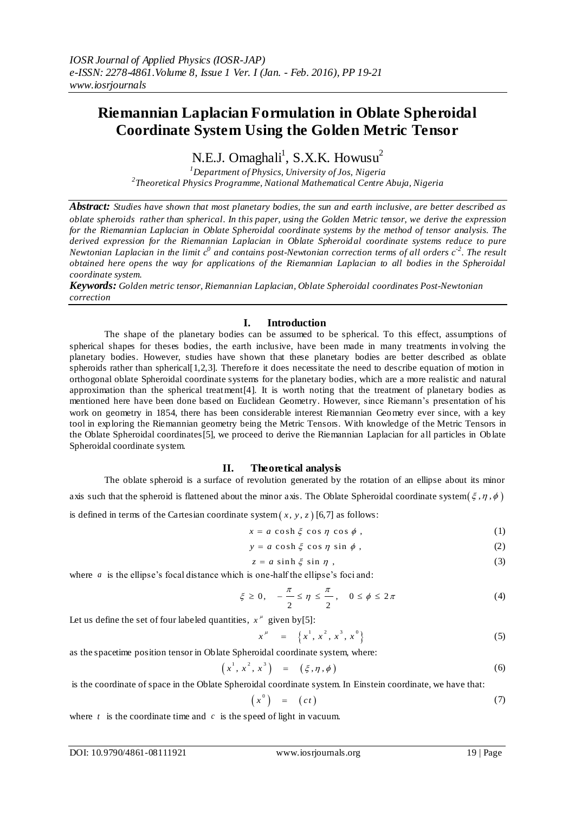# **Riemannian Laplacian Formulation in Oblate Spheroidal Coordinate System Using the Golden Metric Tensor**

N.E.J. Omaghali<sup>1</sup>, S.X.K. Howusu<sup>2</sup>

*<sup>1</sup>Department of Physics, University of Jos, Nigeria 2 Theoretical Physics Programme, National Mathematical Centre Abuja, Nigeria*

*Abstract: Studies have shown that most planetary bodies, the sun and earth inclusive, are better described as oblate spheroids rather than spherical. In this paper, using the Golden Metric tensor, we derive the expression for the Riemannian Laplacian in Oblate Spheroidal coordinate systems by the method of tensor analysis. The derived expression for the Riemannian Laplacian in Oblate Spheroidal coordinate systems reduce to pure Newtonian Laplacian in the limit*  $c^0$  *and contains post-Newtonian correction terms of all orders*  $c^{-2}$ *. The result obtained here opens the way for applications of the Riemannian Laplacian to all bodies in the Spheroidal coordinate system.*

*Keywords: Golden metric tensor, Riemannian Laplacian, Oblate Spheroidal coordinates Post-Newtonian correction*

## **I. Introduction**

The shape of the planetary bodies can be assumed to be spherical. To this effect, assumptions of spherical shapes for theses bodies, the earth inclusive, have been made in many treatments in volving the planetary bodies. However, studies have shown that these planetary bodies are better described as oblate spheroids rather than spherical[1,2,3]. Therefore it does necessitate the need to describe equation of motion in orthogonal oblate Spheroidal coordinate systems for the planetary bodies, which are a more realistic and natural approximation than the spherical treatment[4]. It is worth noting that the treatment of planetary bodies as mentioned here have been done based on Euclidean Geometry. However, since Riemann's presentation of his work on geometry in 1854, there has been considerable interest Riemannian Geometry ever since, with a key tool in exploring the Riemannian geometry being the Metric Tensors. With knowledge of the Metric Tensors in the Oblate Spheroidal coordinates[5], we proceed to derive the Riemannian Laplacian for all particles in Oblate Spheroidal coordinate system.

### **II. Theoretical analysis**

The oblate spheroid is a surface of revolution generated by the rotation of an ellipse about its minor axis such that the spheroid is flattened about the minor axis. The Oblate Spheroidal coordinate system $(\xi, \eta, \phi)$ is defined in terms of the Cartesian coordinate system  $(x, y, z)$  [6,7] as follows:

$$
x = a \cosh \xi \cos \eta \cos \phi , \qquad (1)
$$

$$
y = a \cosh \xi \cos \eta \sin \phi , \qquad (2)
$$

$$
z = a \sinh \xi \sin \eta , \qquad (3)
$$

where *a* is the ellipse's focal distance which is one-half the ellipse's foci and:<br> $\frac{\pi}{4} \leq \pi \leq \frac{\pi}{4}$ 

$$
\xi \ge 0, \quad -\frac{\pi}{2} \le \eta \le \frac{\pi}{2}, \quad 0 \le \phi \le 2\pi \tag{4}
$$

Let us define the set of four labeled quantities,  $x^{\mu}$  given by [5]:

$$
x^{\mu} = \left\{ x^{1}, x^{2}, x^{3}, x^{0} \right\}
$$
 (5)

as the spacetime position tensor in Oblate Spheroidal coordinate system, where:

$$
\left(x^{1}, x^{2}, x^{3}\right) = \left(\xi, \eta, \phi\right)
$$
 (6)

is the coordinate of space in the Oblate Spheroidal coordinate system. In Einstein coordinate, we have that:

$$
\left(x^{0}\right) = \left(ct\right) \tag{7}
$$

where  $t$  is the coordinate time and  $c$  is the speed of light in vacuum.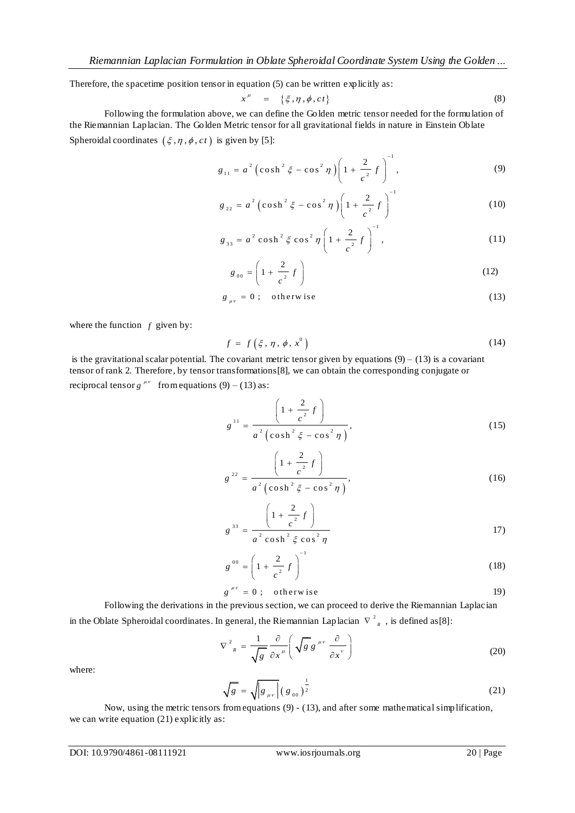Therefore, the spacetime position tensor in equation (5) can be written explicitly as:

$$
x^{\mu} = \{\xi, \eta, \phi, ct\} \tag{8}
$$

Following the formulation above, we can define the Golden metric tensor needed for the formulation of the Riemannian Laplacian. The Golden Metric tensor for all gravitational fields in nature in Einstein Oblate Spheroidal coordinates  $(\xi, \eta, \phi, ct)$  is given by [5]:

$$
g_{11} = a^2 \left( \cosh^2 \xi - \cos^2 \eta \right) \left( 1 + \frac{2}{c^2} f \right)^{-1}, \tag{9}
$$

$$
g_{22} = a^2 \left( \cosh^2 \xi - \cos^2 \eta \right) \left( 1 + \frac{2}{c^2} f \right)^{-1}
$$
 (10)

$$
g_{33} = a^2 \cosh^2 \xi \cos^2 \eta \left( 1 + \frac{2}{c^2} f \right)^{-1}, \tag{11}
$$

$$
g_{_{00}} = \left(1 + \frac{2}{c^2} f\right) \tag{12}
$$

$$
g_{\mu\nu} = 0; \quad \text{otherwise} \tag{13}
$$

where the function  $f$  given by:

$$
f = f\left(\xi, \eta, \phi, x^0\right) \tag{14}
$$

is the gravitational scalar potential. The covariant metric tensor given by equations  $(9) - (13)$  is a covariant tensor of rank 2. Therefore, by tensor transformations[8], we can obtain the corresponding conjugate or reciprocal tensor  $g^{\mu\nu}$  from equations (9) – (13) as:

$$
g^{11} = \frac{\left(1 + \frac{2}{c^2} f\right)}{a^2 \left(\cosh^2 \xi - \cos^2 \eta\right)},
$$
\n(15)

$$
g^{22} = \frac{\left(1 + \frac{2}{c^2} f\right)}{a^2 \left(\cosh^2 \xi - \cos^2 \eta\right)},
$$
\n(16)

$$
g^{33} = \frac{\left(1 + \frac{2}{c^2} f\right)}{a^2 \cosh^2 \xi \cos^2 \eta}
$$
 (17)

$$
g^{00} = \left(1 + \frac{2}{c^2} f\right)^{-1}
$$
 (18)

$$
g^{\mu\nu} = 0; \quad \text{otherwise} \tag{19}
$$

Following the derivations in the previous section, we can proceed to derive the Riemannian Laplacian in the Oblate Spheroidal coordinates. In general, the Riemannian Laplacian  $\|\nabla\|^2_{R}$ , is defined as [8]:

$$
\nabla^2_{R} = \frac{1}{\sqrt{g}} \frac{\partial}{\partial x^{\mu}} \left( \sqrt{g} g^{\mu \nu} \frac{\partial}{\partial x^{\nu}} \right)
$$
 (20)

where:

$$
\sqrt{g} = \sqrt{|g_{\mu\nu}|} (g_{00})^{\frac{1}{2}}
$$
 (21)

Now, using the metric tensors from equations (9) - (13), and after some mathematical simplification, we can write equation (21) explicitly as: